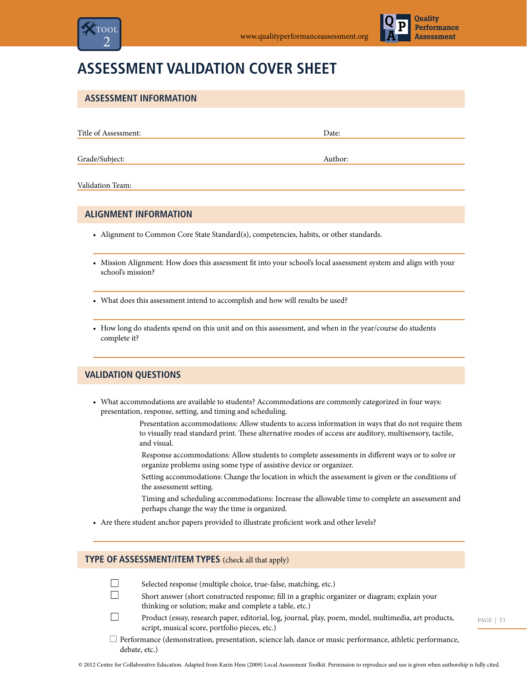



# **Assessment Validation Cover Sheet**

| <b>ASSESSMENT INFORMATION</b>                                                                                                         |         |
|---------------------------------------------------------------------------------------------------------------------------------------|---------|
|                                                                                                                                       |         |
| Title of Assessment:                                                                                                                  | Date:   |
| Grade/Subject:                                                                                                                        | Author: |
| Validation Team:                                                                                                                      |         |
| <b>ALIGNMENT INFORMATION</b>                                                                                                          |         |
| • Alignment to Common Core State Standard(s), competencies, habits, or other standards.                                               |         |
| • Mission Alignment: How does this assessment fit into your school's local assessment system and align with your<br>school's mission? |         |

- What does this assessment intend to accomplish and how will results be used?
- How long do students spend on this unit and on this assessment, and when in the year/course do students complete it?

## **Validation Questions**

- • What accommodations are available to students? Accommodations are commonly categorized in four ways: presentation, response, setting, and timing and scheduling.
	- Presentation accommodations: Allow students to access information in ways that do not require them to visually read standard print. These alternative modes of access are auditory, multisensory, tactile, and visual.
	- Response accommodations: Allow students to complete assessments in different ways or to solve or organize problems using some type of assistive device or organizer.
	- Setting accommodations: Change the location in which the assessment is given or the conditions of the assessment setting.
	- Timing and scheduling accommodations: Increase the allowable time to complete an assessment and perhaps change the way the time is organized.
- • Are there student anchor papers provided to illustrate proficient work and other levels?

### **Type of Assessment/Item Types** (check all that apply)

 $\Box$ 

 $\Box$ 

 $\Box$ 

- Selected response (multiple choice, true-false, matching, etc.)
- Short answer (short constructed response; fill in a graphic organizer or diagram; explain your thinking or solution; make and complete a table, etc.)
- Product (essay, research paper, editorial, log, journal, play, poem, model, multimedia, art products, script, musical score, portfolio pieces, etc.)
- $\Box$  Performance (demonstration, presentation, science lab, dance or music performance, athletic performance, debate, etc.)

PAGE | T1